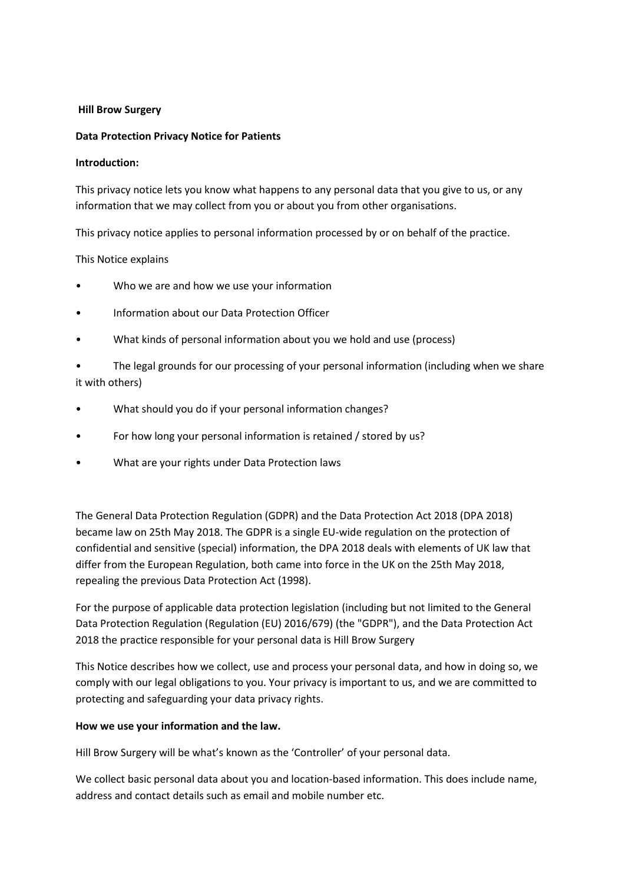#### **Hill Brow Surgery**

#### **Data Protection Privacy Notice for Patients**

#### **Introduction:**

This privacy notice lets you know what happens to any personal data that you give to us, or any information that we may collect from you or about you from other organisations.

This privacy notice applies to personal information processed by or on behalf of the practice.

#### This Notice explains

- Who we are and how we use your information
- Information about our Data Protection Officer
- What kinds of personal information about you we hold and use (process)

The legal grounds for our processing of your personal information (including when we share it with others)

- What should you do if your personal information changes?
- For how long your personal information is retained / stored by us?
- What are your rights under Data Protection laws

The General Data Protection Regulation (GDPR) and the Data Protection Act 2018 (DPA 2018) became law on 25th May 2018. The GDPR is a single EU-wide regulation on the protection of confidential and sensitive (special) information, the DPA 2018 deals with elements of UK law that differ from the European Regulation, both came into force in the UK on the 25th May 2018, repealing the previous Data Protection Act (1998).

For the purpose of applicable data protection legislation (including but not limited to the General Data Protection Regulation (Regulation (EU) 2016/679) (the "GDPR"), and the Data Protection Act 2018 the practice responsible for your personal data is Hill Brow Surgery

This Notice describes how we collect, use and process your personal data, and how in doing so, we comply with our legal obligations to you. Your privacy is important to us, and we are committed to protecting and safeguarding your data privacy rights.

### **How we use your information and the law.**

Hill Brow Surgery will be what's known as the 'Controller' of your personal data.

We collect basic personal data about you and location-based information. This does include name, address and contact details such as email and mobile number etc.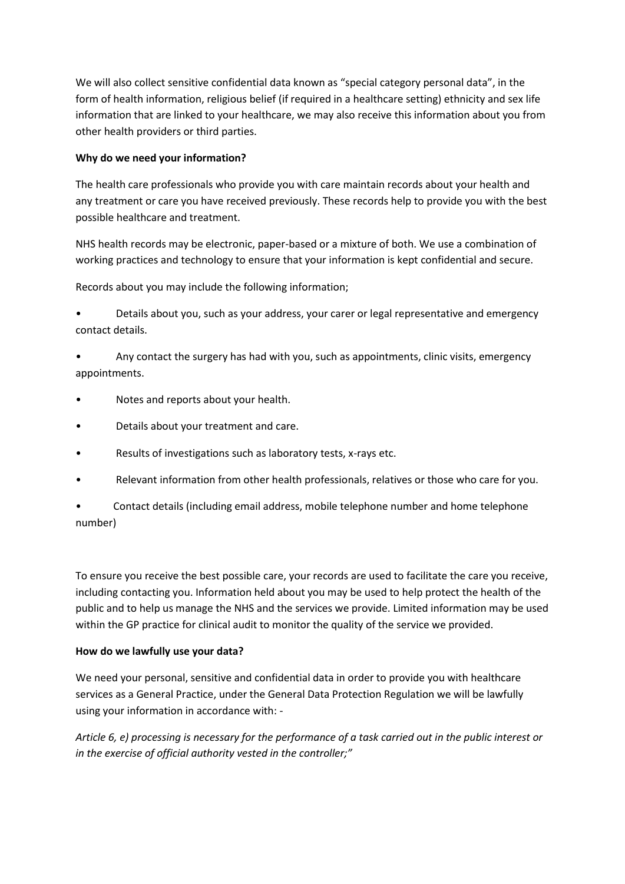We will also collect sensitive confidential data known as "special category personal data", in the form of health information, religious belief (if required in a healthcare setting) ethnicity and sex life information that are linked to your healthcare, we may also receive this information about you from other health providers or third parties.

### **Why do we need your information?**

The health care professionals who provide you with care maintain records about your health and any treatment or care you have received previously. These records help to provide you with the best possible healthcare and treatment.

NHS health records may be electronic, paper-based or a mixture of both. We use a combination of working practices and technology to ensure that your information is kept confidential and secure.

Records about you may include the following information;

• Details about you, such as your address, your carer or legal representative and emergency contact details.

• Any contact the surgery has had with you, such as appointments, clinic visits, emergency appointments.

- Notes and reports about your health.
- Details about your treatment and care.
- Results of investigations such as laboratory tests, x-rays etc.
- Relevant information from other health professionals, relatives or those who care for you.

• Contact details (including email address, mobile telephone number and home telephone number)

To ensure you receive the best possible care, your records are used to facilitate the care you receive, including contacting you. Information held about you may be used to help protect the health of the public and to help us manage the NHS and the services we provide. Limited information may be used within the GP practice for clinical audit to monitor the quality of the service we provided.

### **How do we lawfully use your data?**

We need your personal, sensitive and confidential data in order to provide you with healthcare services as a General Practice, under the General Data Protection Regulation we will be lawfully using your information in accordance with: -

*Article 6, e) processing is necessary for the performance of a task carried out in the public interest or in the exercise of official authority vested in the controller;"*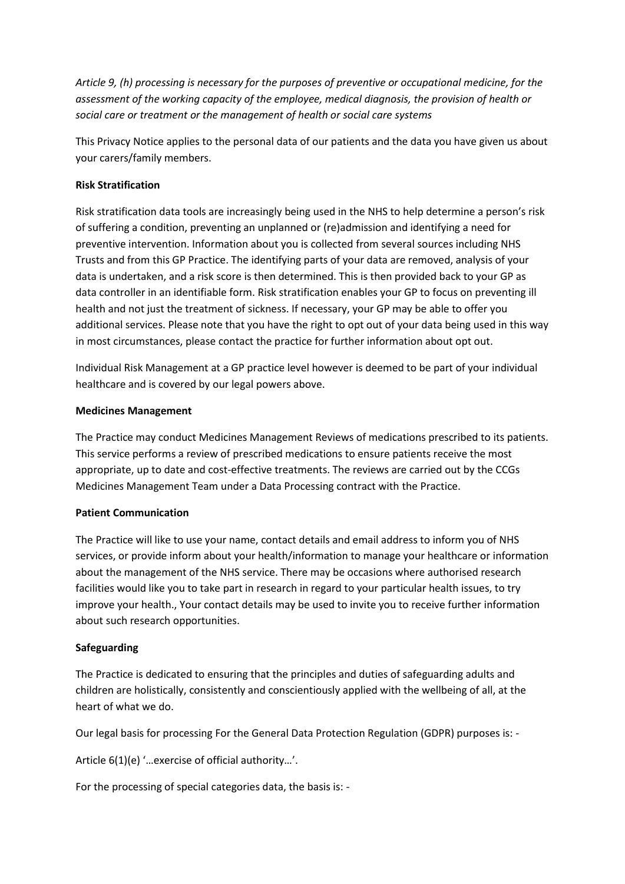*Article 9, (h) processing is necessary for the purposes of preventive or occupational medicine, for the assessment of the working capacity of the employee, medical diagnosis, the provision of health or social care or treatment or the management of health or social care systems* 

This Privacy Notice applies to the personal data of our patients and the data you have given us about your carers/family members.

# **Risk Stratification**

Risk stratification data tools are increasingly being used in the NHS to help determine a person's risk of suffering a condition, preventing an unplanned or (re)admission and identifying a need for preventive intervention. Information about you is collected from several sources including NHS Trusts and from this GP Practice. The identifying parts of your data are removed, analysis of your data is undertaken, and a risk score is then determined. This is then provided back to your GP as data controller in an identifiable form. Risk stratification enables your GP to focus on preventing ill health and not just the treatment of sickness. If necessary, your GP may be able to offer you additional services. Please note that you have the right to opt out of your data being used in this way in most circumstances, please contact the practice for further information about opt out.

Individual Risk Management at a GP practice level however is deemed to be part of your individual healthcare and is covered by our legal powers above.

### **Medicines Management**

The Practice may conduct Medicines Management Reviews of medications prescribed to its patients. This service performs a review of prescribed medications to ensure patients receive the most appropriate, up to date and cost-effective treatments. The reviews are carried out by the CCGs Medicines Management Team under a Data Processing contract with the Practice.

### **Patient Communication**

The Practice will like to use your name, contact details and email address to inform you of NHS services, or provide inform about your health/information to manage your healthcare or information about the management of the NHS service. There may be occasions where authorised research facilities would like you to take part in research in regard to your particular health issues, to try improve your health., Your contact details may be used to invite you to receive further information about such research opportunities.

### **Safeguarding**

The Practice is dedicated to ensuring that the principles and duties of safeguarding adults and children are holistically, consistently and conscientiously applied with the wellbeing of all, at the heart of what we do.

Our legal basis for processing For the General Data Protection Regulation (GDPR) purposes is: -

Article 6(1)(e) '…exercise of official authority…'.

For the processing of special categories data, the basis is: -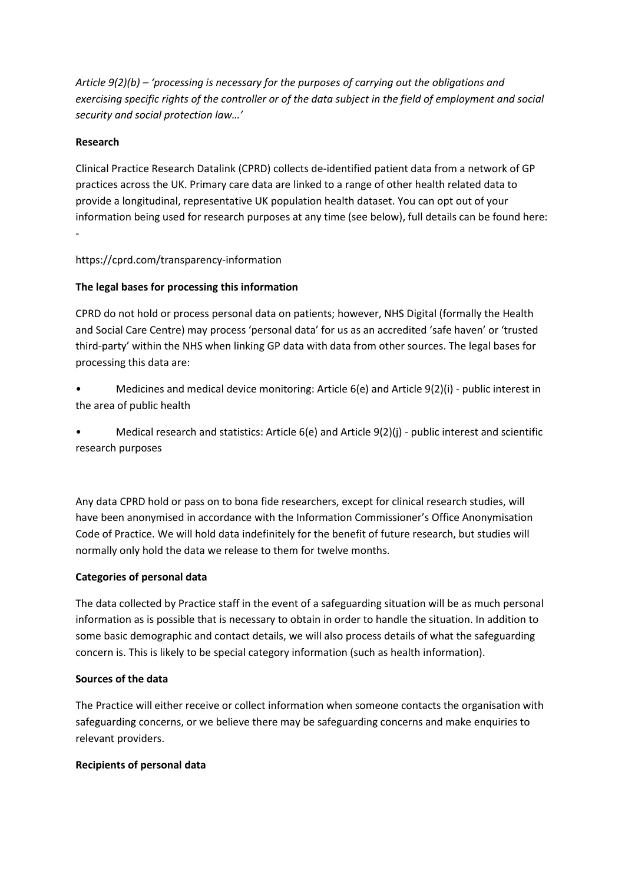*Article 9(2)(b) – 'processing is necessary for the purposes of carrying out the obligations and exercising specific rights of the controller or of the data subject in the field of employment and social security and social protection law…'* 

### **Research**

Clinical Practice Research Datalink (CPRD) collects de-identified patient data from a network of GP practices across the UK. Primary care data are linked to a range of other health related data to provide a longitudinal, representative UK population health dataset. You can opt out of your information being used for research purposes at any time (see below), full details can be found here: -

### https://cprd.com/transparency-information

# **The legal bases for processing this information**

CPRD do not hold or process personal data on patients; however, NHS Digital (formally the Health and Social Care Centre) may process 'personal data' for us as an accredited 'safe haven' or 'trusted third-party' within the NHS when linking GP data with data from other sources. The legal bases for processing this data are:

Medicines and medical device monitoring: Article 6(e) and Article 9(2)(i) - public interest in the area of public health

• Medical research and statistics: Article 6(e) and Article 9(2)(j) - public interest and scientific research purposes

Any data CPRD hold or pass on to bona fide researchers, except for clinical research studies, will have been anonymised in accordance with the Information Commissioner's Office Anonymisation Code of Practice. We will hold data indefinitely for the benefit of future research, but studies will normally only hold the data we release to them for twelve months.

### **Categories of personal data**

The data collected by Practice staff in the event of a safeguarding situation will be as much personal information as is possible that is necessary to obtain in order to handle the situation. In addition to some basic demographic and contact details, we will also process details of what the safeguarding concern is. This is likely to be special category information (such as health information).

### **Sources of the data**

The Practice will either receive or collect information when someone contacts the organisation with safeguarding concerns, or we believe there may be safeguarding concerns and make enquiries to relevant providers.

# **Recipients of personal data**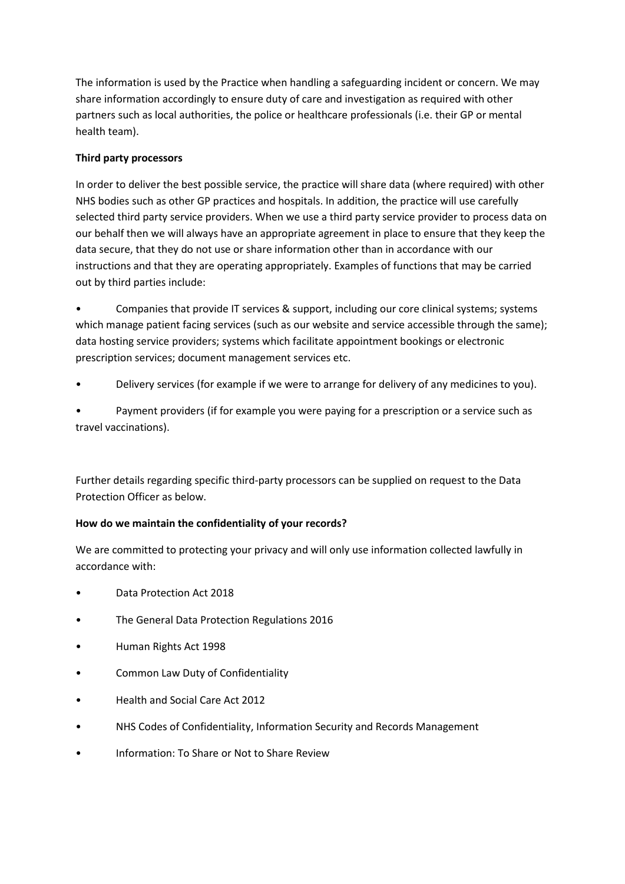The information is used by the Practice when handling a safeguarding incident or concern. We may share information accordingly to ensure duty of care and investigation as required with other partners such as local authorities, the police or healthcare professionals (i.e. their GP or mental health team).

# **Third party processors**

In order to deliver the best possible service, the practice will share data (where required) with other NHS bodies such as other GP practices and hospitals. In addition, the practice will use carefully selected third party service providers. When we use a third party service provider to process data on our behalf then we will always have an appropriate agreement in place to ensure that they keep the data secure, that they do not use or share information other than in accordance with our instructions and that they are operating appropriately. Examples of functions that may be carried out by third parties include:

• Companies that provide IT services & support, including our core clinical systems; systems which manage patient facing services (such as our website and service accessible through the same); data hosting service providers; systems which facilitate appointment bookings or electronic prescription services; document management services etc.

• Delivery services (for example if we were to arrange for delivery of any medicines to you).

• Payment providers (if for example you were paying for a prescription or a service such as travel vaccinations).

Further details regarding specific third-party processors can be supplied on request to the Data Protection Officer as below.

# **How do we maintain the confidentiality of your records?**

We are committed to protecting your privacy and will only use information collected lawfully in accordance with:

- Data Protection Act 2018
- The General Data Protection Regulations 2016
- Human Rights Act 1998
- Common Law Duty of Confidentiality
- Health and Social Care Act 2012
- NHS Codes of Confidentiality, Information Security and Records Management
- Information: To Share or Not to Share Review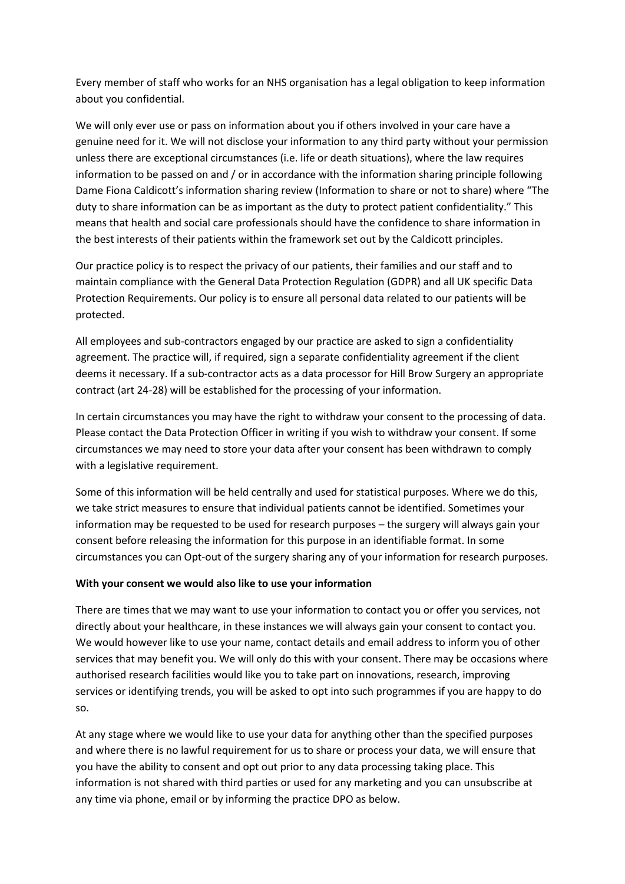Every member of staff who works for an NHS organisation has a legal obligation to keep information about you confidential.

We will only ever use or pass on information about you if others involved in your care have a genuine need for it. We will not disclose your information to any third party without your permission unless there are exceptional circumstances (i.e. life or death situations), where the law requires information to be passed on and / or in accordance with the information sharing principle following Dame Fiona Caldicott's information sharing review (Information to share or not to share) where "The duty to share information can be as important as the duty to protect patient confidentiality." This means that health and social care professionals should have the confidence to share information in the best interests of their patients within the framework set out by the Caldicott principles.

Our practice policy is to respect the privacy of our patients, their families and our staff and to maintain compliance with the General Data Protection Regulation (GDPR) and all UK specific Data Protection Requirements. Our policy is to ensure all personal data related to our patients will be protected.

All employees and sub-contractors engaged by our practice are asked to sign a confidentiality agreement. The practice will, if required, sign a separate confidentiality agreement if the client deems it necessary. If a sub-contractor acts as a data processor for Hill Brow Surgery an appropriate contract (art 24-28) will be established for the processing of your information.

In certain circumstances you may have the right to withdraw your consent to the processing of data. Please contact the Data Protection Officer in writing if you wish to withdraw your consent. If some circumstances we may need to store your data after your consent has been withdrawn to comply with a legislative requirement.

Some of this information will be held centrally and used for statistical purposes. Where we do this, we take strict measures to ensure that individual patients cannot be identified. Sometimes your information may be requested to be used for research purposes – the surgery will always gain your consent before releasing the information for this purpose in an identifiable format. In some circumstances you can Opt-out of the surgery sharing any of your information for research purposes.

### **With your consent we would also like to use your information**

There are times that we may want to use your information to contact you or offer you services, not directly about your healthcare, in these instances we will always gain your consent to contact you. We would however like to use your name, contact details and email address to inform you of other services that may benefit you. We will only do this with your consent. There may be occasions where authorised research facilities would like you to take part on innovations, research, improving services or identifying trends, you will be asked to opt into such programmes if you are happy to do so.

At any stage where we would like to use your data for anything other than the specified purposes and where there is no lawful requirement for us to share or process your data, we will ensure that you have the ability to consent and opt out prior to any data processing taking place. This information is not shared with third parties or used for any marketing and you can unsubscribe at any time via phone, email or by informing the practice DPO as below.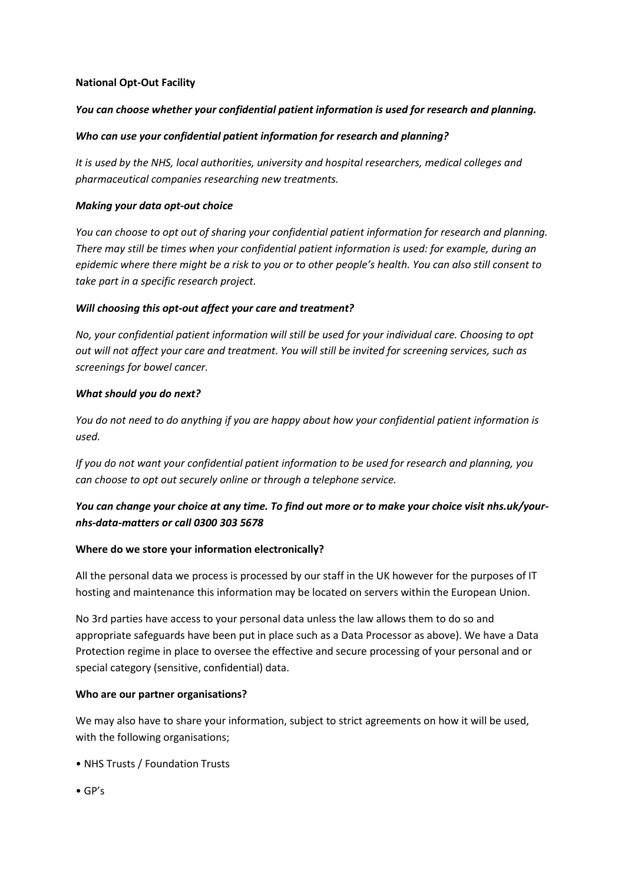### **National Opt-Out Facility**

# *You can choose whether your confidential patient information is used for research and planning.*

### *Who can use your confidential patient information for research and planning?*

*It is used by the NHS, local authorities, university and hospital researchers, medical colleges and pharmaceutical companies researching new treatments.* 

### *Making your data opt-out choice*

*You can choose to opt out of sharing your confidential patient information for research and planning. There may still be times when your confidential patient information is used: for example, during an epidemic where there might be a risk to you or to other people's health. You can also still consent to take part in a specific research project.* 

### *Will choosing this opt-out affect your care and treatment?*

*No, your confidential patient information will still be used for your individual care. Choosing to opt out will not affect your care and treatment. You will still be invited for screening services, such as screenings for bowel cancer.* 

### *What should you do next?*

*You do not need to do anything if you are happy about how your confidential patient information is used.* 

*If you do not want your confidential patient information to be used for research and planning, you can choose to opt out securely online or through a telephone service.* 

# *You can change your choice at any time. To find out more or to make your choice visit nhs.uk/yournhs-data-matters or call 0300 303 5678*

# **Where do we store your information electronically?**

All the personal data we process is processed by our staff in the UK however for the purposes of IT hosting and maintenance this information may be located on servers within the European Union.

No 3rd parties have access to your personal data unless the law allows them to do so and appropriate safeguards have been put in place such as a Data Processor as above). We have a Data Protection regime in place to oversee the effective and secure processing of your personal and or special category (sensitive, confidential) data.

### **Who are our partner organisations?**

We may also have to share your information, subject to strict agreements on how it will be used, with the following organisations;

- NHS Trusts / Foundation Trusts
- GP's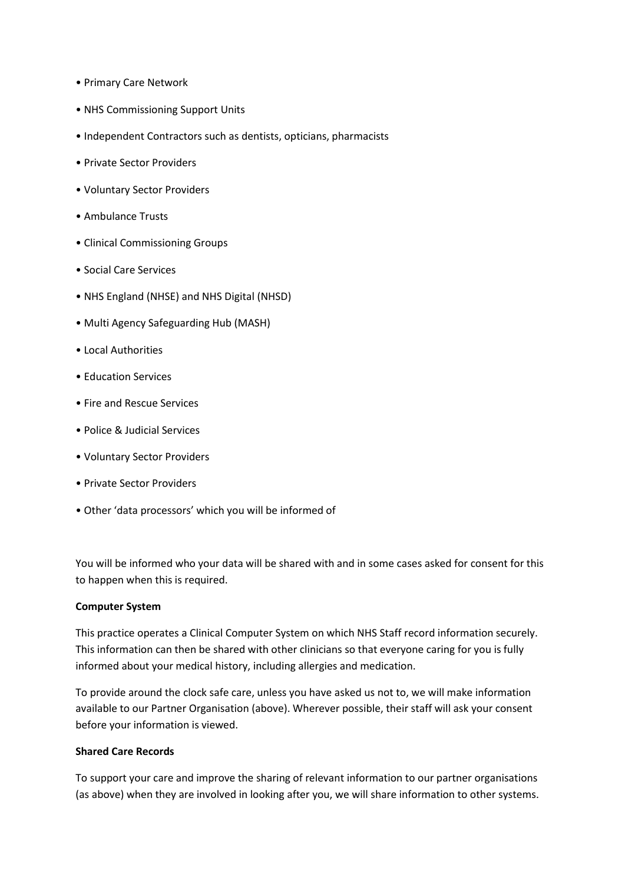- Primary Care Network
- NHS Commissioning Support Units
- Independent Contractors such as dentists, opticians, pharmacists
- Private Sector Providers
- Voluntary Sector Providers
- Ambulance Trusts
- Clinical Commissioning Groups
- Social Care Services
- NHS England (NHSE) and NHS Digital (NHSD)
- Multi Agency Safeguarding Hub (MASH)
- Local Authorities
- Education Services
- Fire and Rescue Services
- Police & Judicial Services
- Voluntary Sector Providers
- Private Sector Providers
- Other 'data processors' which you will be informed of

You will be informed who your data will be shared with and in some cases asked for consent for this to happen when this is required.

### **Computer System**

This practice operates a Clinical Computer System on which NHS Staff record information securely. This information can then be shared with other clinicians so that everyone caring for you is fully informed about your medical history, including allergies and medication.

To provide around the clock safe care, unless you have asked us not to, we will make information available to our Partner Organisation (above). Wherever possible, their staff will ask your consent before your information is viewed.

### **Shared Care Records**

To support your care and improve the sharing of relevant information to our partner organisations (as above) when they are involved in looking after you, we will share information to other systems.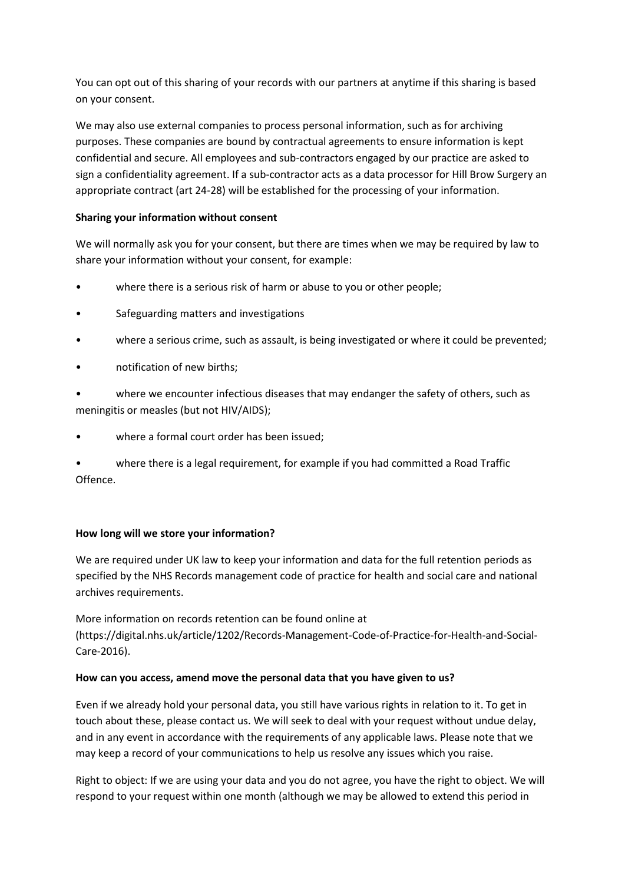You can opt out of this sharing of your records with our partners at anytime if this sharing is based on your consent.

We may also use external companies to process personal information, such as for archiving purposes. These companies are bound by contractual agreements to ensure information is kept confidential and secure. All employees and sub-contractors engaged by our practice are asked to sign a confidentiality agreement. If a sub-contractor acts as a data processor for Hill Brow Surgery an appropriate contract (art 24-28) will be established for the processing of your information.

# **Sharing your information without consent**

We will normally ask you for your consent, but there are times when we may be required by law to share your information without your consent, for example:

- where there is a serious risk of harm or abuse to you or other people;
- Safeguarding matters and investigations
- where a serious crime, such as assault, is being investigated or where it could be prevented;
- notification of new births;

where we encounter infectious diseases that may endanger the safety of others, such as meningitis or measles (but not HIV/AIDS);

where a formal court order has been issued;

• where there is a legal requirement, for example if you had committed a Road Traffic Offence.

# **How long will we store your information?**

We are required under UK law to keep your information and data for the full retention periods as specified by the NHS Records management code of practice for health and social care and national archives requirements.

More information on records retention can be found online at (https://digital.nhs.uk/article/1202/Records-Management-Code-of-Practice-for-Health-and-Social-Care-2016).

# **How can you access, amend move the personal data that you have given to us?**

Even if we already hold your personal data, you still have various rights in relation to it. To get in touch about these, please contact us. We will seek to deal with your request without undue delay, and in any event in accordance with the requirements of any applicable laws. Please note that we may keep a record of your communications to help us resolve any issues which you raise.

Right to object: If we are using your data and you do not agree, you have the right to object. We will respond to your request within one month (although we may be allowed to extend this period in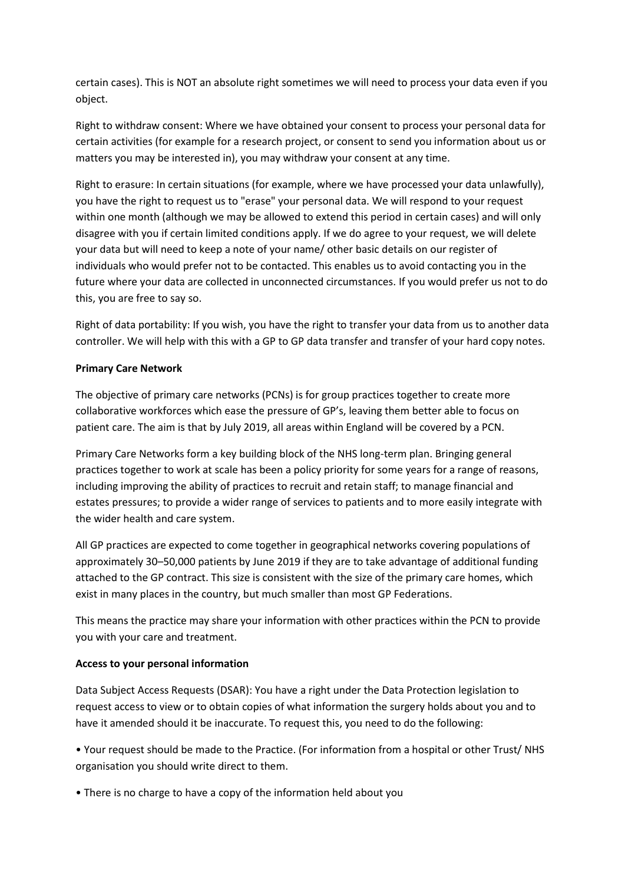certain cases). This is NOT an absolute right sometimes we will need to process your data even if you object.

Right to withdraw consent: Where we have obtained your consent to process your personal data for certain activities (for example for a research project, or consent to send you information about us or matters you may be interested in), you may withdraw your consent at any time.

Right to erasure: In certain situations (for example, where we have processed your data unlawfully), you have the right to request us to "erase" your personal data. We will respond to your request within one month (although we may be allowed to extend this period in certain cases) and will only disagree with you if certain limited conditions apply. If we do agree to your request, we will delete your data but will need to keep a note of your name/ other basic details on our register of individuals who would prefer not to be contacted. This enables us to avoid contacting you in the future where your data are collected in unconnected circumstances. If you would prefer us not to do this, you are free to say so.

Right of data portability: If you wish, you have the right to transfer your data from us to another data controller. We will help with this with a GP to GP data transfer and transfer of your hard copy notes.

### **Primary Care Network**

The objective of primary care networks (PCNs) is for group practices together to create more collaborative workforces which ease the pressure of GP's, leaving them better able to focus on patient care. The aim is that by July 2019, all areas within England will be covered by a PCN.

Primary Care Networks form a key building block of the NHS long-term plan. Bringing general practices together to work at scale has been a policy priority for some years for a range of reasons, including improving the ability of practices to recruit and retain staff; to manage financial and estates pressures; to provide a wider range of services to patients and to more easily integrate with the wider health and care system.

All GP practices are expected to come together in geographical networks covering populations of approximately 30–50,000 patients by June 2019 if they are to take advantage of additional funding attached to the GP contract. This size is consistent with the size of the primary care homes, which exist in many places in the country, but much smaller than most GP Federations.

This means the practice may share your information with other practices within the PCN to provide you with your care and treatment.

### **Access to your personal information**

Data Subject Access Requests (DSAR): You have a right under the Data Protection legislation to request access to view or to obtain copies of what information the surgery holds about you and to have it amended should it be inaccurate. To request this, you need to do the following:

• Your request should be made to the Practice. (For information from a hospital or other Trust/ NHS organisation you should write direct to them.

• There is no charge to have a copy of the information held about you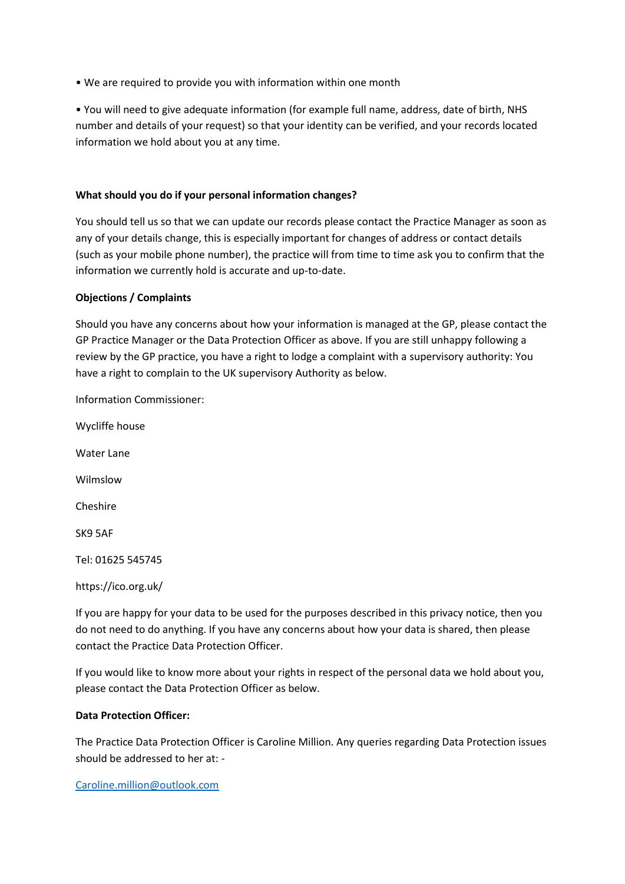• We are required to provide you with information within one month

• You will need to give adequate information (for example full name, address, date of birth, NHS number and details of your request) so that your identity can be verified, and your records located information we hold about you at any time.

### **What should you do if your personal information changes?**

You should tell us so that we can update our records please contact the Practice Manager as soon as any of your details change, this is especially important for changes of address or contact details (such as your mobile phone number), the practice will from time to time ask you to confirm that the information we currently hold is accurate and up-to-date.

### **Objections / Complaints**

Should you have any concerns about how your information is managed at the GP, please contact the GP Practice Manager or the Data Protection Officer as above. If you are still unhappy following a review by the GP practice, you have a right to lodge a complaint with a supervisory authority: You have a right to complain to the UK supervisory Authority as below.

Information Commissioner:

Wycliffe house Water Lane Wilmslow Cheshire SK9 5AF Tel: 01625 545745 https://ico.org.uk/

If you are happy for your data to be used for the purposes described in this privacy notice, then you do not need to do anything. If you have any concerns about how your data is shared, then please contact the Practice Data Protection Officer.

If you would like to know more about your rights in respect of the personal data we hold about you, please contact the Data Protection Officer as below.

### **Data Protection Officer:**

The Practice Data Protection Officer is Caroline Million. Any queries regarding Data Protection issues should be addressed to her at: -

[Caroline.million@outlook.com](mailto:Caroline.million@outlook.com)